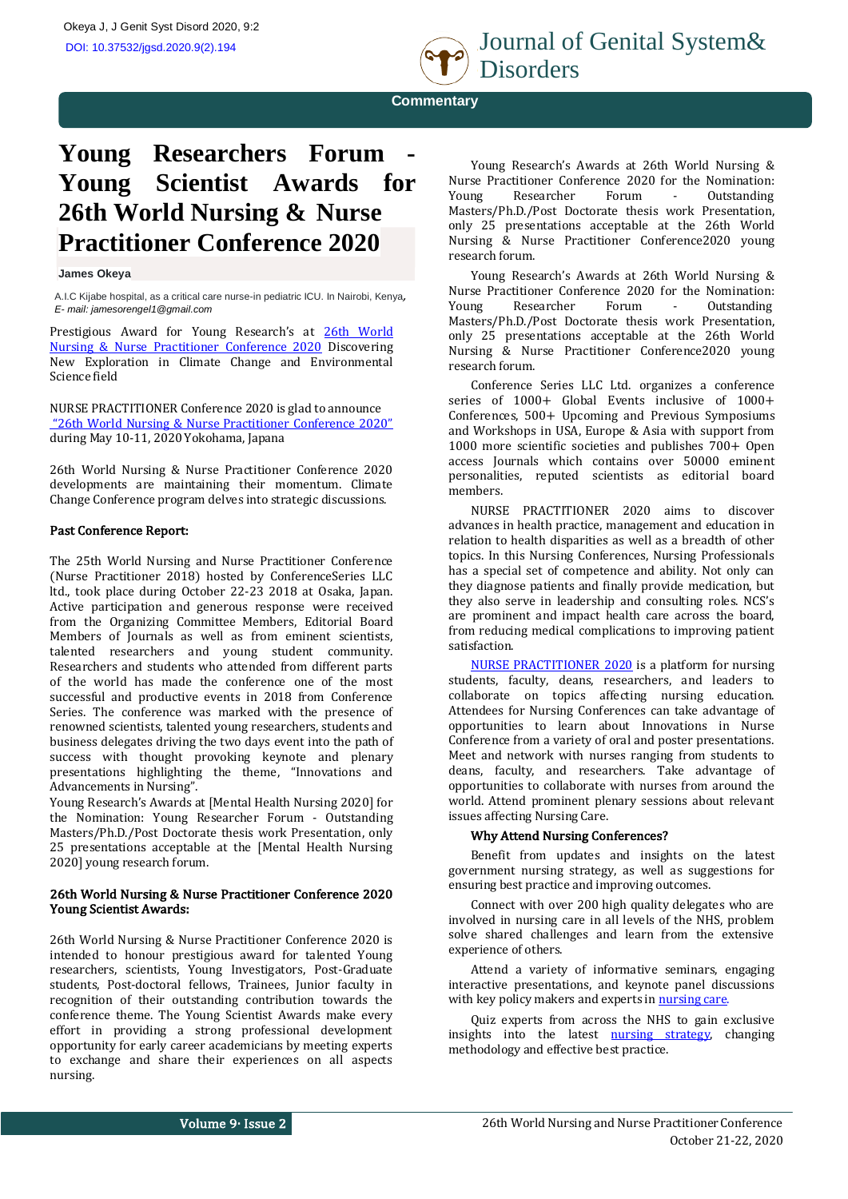

 **Commentary**

# **Young Researchers Forum Young Scientist Awards for 26th World Nursing & Nurse Practitioner Conference 2020**

## **James Okeya**

A.I.C Kijabe hospital, as a critical care nurse-in pediatric ICU. In Nairobi, Kenya, *E- mail[: jamesorengel1@gmail.com](mailto:jamesorengel1@gmail.com)*

Prestigious Award for Young Research's at [26th World](https://nurse-nursepractitioners.nursingconference.com/) [Nursing & Nurse Practitioner Conference 2020](https://nurse-nursepractitioners.nursingconference.com/) Discovering New Exploration in Climate Change and Environmental Science field

NURSE PRACTITIONER Conference 2020 is glad to announce ["26th World Nursing & Nurse Practitioner Conference 2020"](https://nurse-nursepractitioners.nursingconference.com/) during May 10-11, 2020 Yokohama, Japana

26th World Nursing & Nurse Practitioner Conference 2020 developments are maintaining their momentum. Climate Change Conference program delves into strategic discussions.

# Past Conference Report:

The 25th World Nursing and Nurse Practitioner Conference (Nurse Practitioner 2018) hosted by ConferenceSeries LLC ltd., took place during October 22-23 2018 at Osaka, Japan. Active participation and generous response were received from the Organizing Committee Members, Editorial Board Members of Journals as well as from eminent scientists, talented researchers and young student community. Researchers and students who attended from different parts of the world has made the conference one of the most successful and productive events in 2018 from Conference Series. The conference was marked with the presence of renowned scientists, talented young researchers, students and business delegates driving the two days event into the path of success with thought provoking keynote and plenary presentations highlighting the theme, "Innovations and Advancements in Nursing".

Young Research's Awards at [Mental Health Nursing 2020] for the Nomination: Young Researcher Forum - Outstanding Masters/Ph.D./Post Doctorate thesis work Presentation, only 25 presentations acceptable at the [Mental Health Nursing 2020] young research forum.

# 26th World Nursing & Nurse Practitioner Conference 2020 Young Scientist Awards:

26th World Nursing & Nurse Practitioner Conference 2020 is intended to honour prestigious award for talented Young researchers, scientists, Young Investigators, Post-Graduate students, Post-doctoral fellows, Trainees, Junior faculty in recognition of their outstanding contribution towards the conference theme. The Young Scientist Awards make every effort in providing a strong professional development opportunity for early career academicians by meeting experts to exchange and share their experiences on all aspects nursing.

Young Research's Awards at 26th World Nursing & Nurse Practitioner Conference 2020 for the Nomination: Young Researcher Forum - Outstanding Masters/Ph.D./Post Doctorate thesis work Presentation, only 25 presentations acceptable at the 26th World Nursing & Nurse Practitioner Conference2020 young research forum.

Young Research's Awards at 26th World Nursing & Nurse Practitioner Conference 2020 for the Nomination: Young Researcher Forum - Outstanding Masters/Ph.D./Post Doctorate thesis work Presentation, only 25 presentations acceptable at the 26th World Nursing & Nurse Practitioner Conference2020 young research forum.

Conference Series LLC Ltd. organizes a conference series of 1000+ Global Events inclusive of 1000+ Conferences, 500+ Upcoming and Previous Symposiums and Workshops in USA, Europe & Asia with support from 1000 more scientific societies and publishes 700+ Open access Journals which contains over 50000 eminent personalities, reputed scientists as editorial board members.

NURSE PRACTITIONER 2020 aims to discover advances in health practice, management and education in relation to health disparities as well as a breadth of other topics. In this Nursing Conferences, Nursing Professionals has a special set of competence and ability. Not only can they diagnose patients and finally provide medication, but they also serve in leadership and consulting roles. NCS's are prominent and impact health care across the board, from reducing medical complications to improving patient satisfaction.

[NURSE PRACTITIONER 2020](https://nurse-nursepractitioners.nursingconference.com/) is a platform for nursing students, faculty, deans, researchers, and leaders to collaborate on topics affecting nursing education. Attendees for Nursing Conferences can take advantage of opportunities to learn about Innovations in Nurse Conference from a variety of oral and poster presentations. Meet and network with nurses ranging from students to deans, faculty, and researchers. Take advantage of opportunities to collaborate with nurses from around the world. Attend prominent plenary sessions about relevant issues affecting Nursing Care.

## Why Attend Nursing Conferences?

Benefit from updates and insights on the latest government nursing strategy, as well as suggestions for ensuring best practice and improving outcomes.

Connect with over 200 high quality delegates who are involved in nursing care in all levels of the NHS, problem solve shared challenges and learn from the extensive experience of others.

Attend a variety of informative seminars, engaging interactive presentations, and keynote panel discussions with key policy makers and experts i[n nursing care.](https://nurse-nursepractitioners.nursingconference.com/)

Quiz experts from across the NHS to gain exclusive insights into the latest **nursing strategy**, changing methodology and effective best practice.